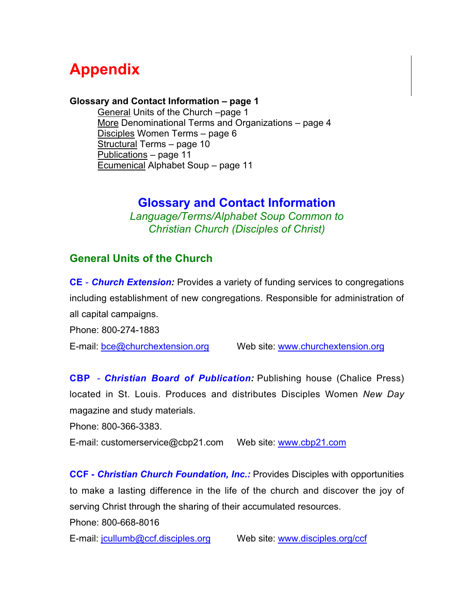# **Appendix**

#### **Glossary and Contact Information – page 1**

General Units of the Church –page 1 [More](#page-3-0) Denominational Terms and Organizations – page 4 [Disciples](#page-5-0) Women Terms – page 6 [Structural](#page-9-0) Terms – page 10 [Publications](#page-10-0) – page 11 [Ecumenical](#page-10-0) Alphabet Soup – page 11

# **Glossary and Contact Information**

*Language/Terms/Alphabet Soup Common to Christian Church (Disciples of Christ)*

## **General Units of the Church**

**CE** - *Church Extension:* Provides a variety of funding services to congregations including establishment of new congregations. Responsible for administration of all capital campaigns.

Phone: 800-274-1883

E-mail: bce@churchextension.or[g](bce@churchextension.org) Web site:<www.churchextension.org>

**CBP** - *Christian Board of Publication:* Publishing house (Chalice Press) located in St. Louis. Produces and distributes Disciples Women *New Day* magazine and study materials.

Phone: 800-366-3383.

E-mail: customerservice@cbp21.com Web site:<www.cbp21.com>

**CCF -** *Christian Church Foundation, Inc.:* Provides Disciples with opportunities to make a lasting difference in the life of the church and discover the joy of serving Christ through the sharing of their accumulated resources.

Phone: 800-668-8016

E-mail: jcullumb@ccf.dis[ciples.org](jcullumb@ccf.disciples.org) Web site:<www.disciples.org/ccf>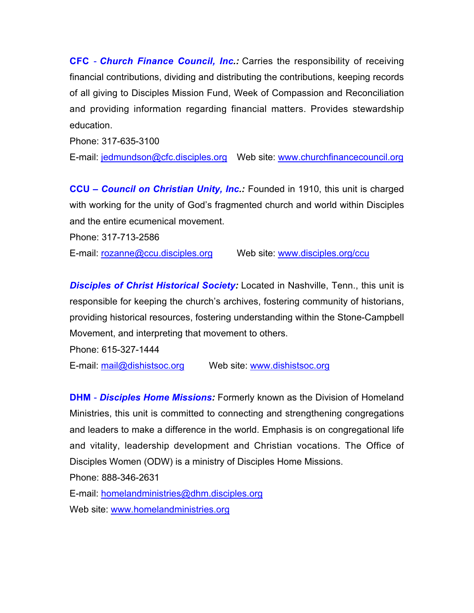**CFC** - *Church Finance Council, Inc.:* Carries the responsibility of receiving financial contributions, dividing and distributing the contributions, keeping records of all giving to Disciples Mission Fund, Week of Compassion and Reconciliation and providing information regarding financial matters. Provides stewardship education.

Phone: 317-635-3100

E-mail: <jedmundson@cfc.disciples.org> Web site:<www.churchfinancecouncil.org>

**CCU** *– Council on Christian Unity, Inc.:* Founded in 1910, this unit is charged with working for the unity of God's fragmented church and world within Disciples and the entire ecumenical movement.

Phone: 317-713-2586

E-mail: <rozanne@ccu.disciples.org> Web site:<www.disciples.org/ccu>

**Disciples of Christ Historical Society:** Located in Nashville, Tenn., this unit is responsible for keeping the church's archives, fostering community of historians, providing historical resources, fostering understanding within the Stone-Campbell Movement, and interpreting that movement to others.

Phone: 615-327-1444

E-mail: mail@dishistsoc.org Web site:<www.dishistsoc.org>

**DHM** - *Disciples Home Missions:* Formerly known as the Division of Homeland Ministries, this unit is committed to connecting and strengthening congregations and leaders to make a difference in the world. Emphasis is on congregational life and vitality, leadership development and Christian vocations. The Office of Disciples Women (ODW) is a ministry of Disciples Home Missions.

Phone: 888-346-2631

E-mail: homelandministries@dhm.disciples.org Web site:<www.homelandministries.org>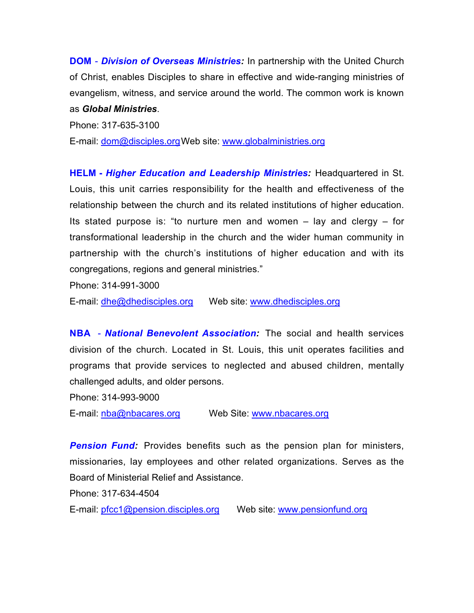**DOM** - *Division of Overseas Ministries:* In partnership with the United Church of Christ, enables Disciples to share in effective and wide-ranging ministries of evangelism, witness, and service around the world. The common work is known as *Global Ministries*.

Phone: 317-635-3100

E-mail: dom@disciples.orgWeb site:<www.globalministries.org>

**HELM -** *Higher Education and Leadership Ministries:* Headquartered in St. Louis, this unit carries responsibility for the health and effectiveness of the relationship between the church and its related institutions of higher education. Its stated purpose is: "to nurture men and women  $-$  lay and clergy  $-$  for transformational leadership in the church and the wider human community in partnership with the church's institutions of higher education and with its congregations, regions and general ministries."

Phone: 314-991-3000

E-mail: dhe@dhedisciples.org Web site:<www.dhedisciples.org>

**NBA** - *National Benevolent Association:* The social and health services division of the church. Located in St. Louis, this unit operates facilities and programs that provide services to neglected and abused children, mentally challenged adults, and older persons.

Phone: 314-993-9000

E-mail: nba@nbacares.org Web Site:<www.nbacares.org>

**Pension Fund:** Provides benefits such as the pension plan for ministers, missionaries, lay employees and other related organizations. Serves as the Board of Ministerial Relief and Assistance.

Phone: 317-634-4504

E-mail: pfcc1@pension.disciples.org Web site:<www.pensionfund.org>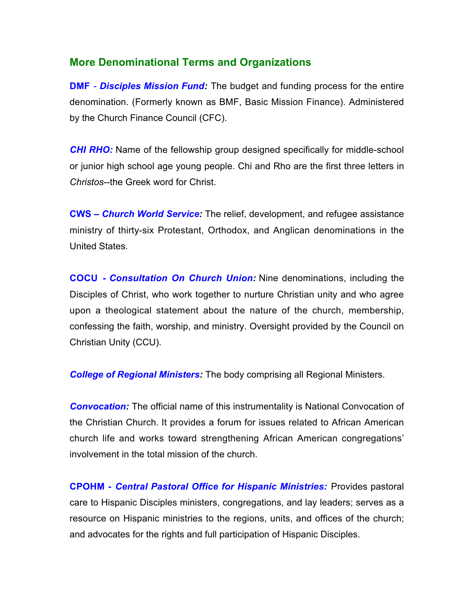### <span id="page-3-0"></span>**More Denominational Terms and Organizations**

**DMF** - *Disciples Mission Fund:* The budget and funding process for the entire denomination. (Formerly known as BMF, Basic Mission Finance). Administered by the Church Finance Council (CFC).

*CHI RHO:* Name of the fellowship group designed specifically for middle-school or junior high school age young people. Chi and Rho are the first three letters in *Christos*--the Greek word for Christ.

**CWS –** *Church World Service:* The relief, development, and refugee assistance ministry of thirty-six Protestant, Orthodox, and Anglican denominations in the United States.

**COCU -** *Consultation On Church Union:* Nine denominations, including the Disciples of Christ, who work together to nurture Christian unity and who agree upon a theological statement about the nature of the church, membership, confessing the faith, worship, and ministry. Oversight provided by the Council on Christian Unity (CCU).

*College of Regional Ministers:* The body comprising all Regional Ministers.

*Convocation:* The official name of this instrumentality is National Convocation of the Christian Church*.* It provides a forum for issues related to African American church life and works toward strengthening African American congregations' involvement in the total mission of the church.

**CPOHM -** *Central Pastoral Office for Hispanic Ministries:* Provides pastoral care to Hispanic Disciples ministers, congregations, and lay leaders; serves as a resource on Hispanic ministries to the regions, units, and offices of the church; and advocates for the rights and full participation of Hispanic Disciples.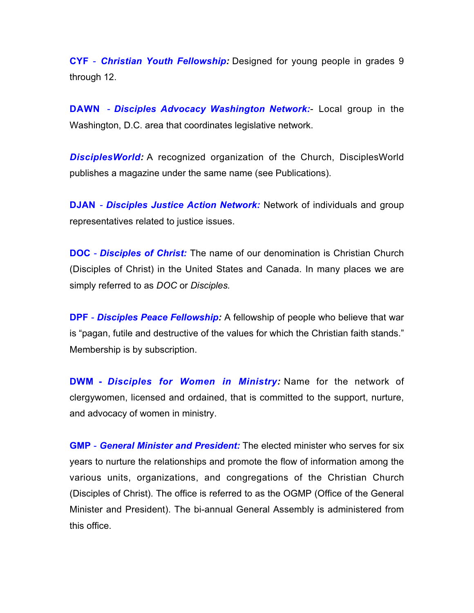**CYF** - *Christian Youth Fellowship:* Designed for young people in grades 9 through 12.

**DAWN** - *Disciples Advocacy Washington Network:*- Local group in the Washington, D.C. area that coordinates legislative network.

*DisciplesWorld:* A recognized organization of the Church, DisciplesWorld publishes a magazine under the same name (see Publications).

**DJAN** - *Disciples Justice Action Network:* Network of individuals and group representatives related to justice issues.

**DOC** - *Disciples of Christ:* The name of our denomination is Christian Church (Disciples of Christ) in the United States and Canada. In many places we are simply referred to as *DOC* or *Disciples.*

**DPF** - *Disciples Peace Fellowship:* A fellowship of people who believe that war is "pagan, futile and destructive of the values for which the Christian faith stands." Membership is by subscription.

**DWM -** *Disciples for Women in Ministry:* Name for the network of clergywomen, licensed and ordained, that is committed to the support, nurture, and advocacy of women in ministry.

**GMP** - *General Minister and President:* The elected minister who serves for six years to nurture the relationships and promote the flow of information among the various units, organizations, and congregations of the Christian Church (Disciples of Christ). The office is referred to as the OGMP (Office of the General Minister and President). The bi-annual General Assembly is administered from this office.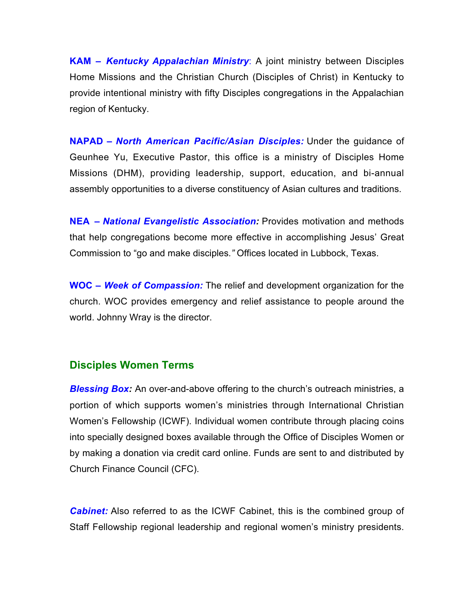<span id="page-5-0"></span>**KAM –** *Kentucky Appalachian Ministry*: A joint ministry between Disciples Home Missions and the Christian Church (Disciples of Christ) in Kentucky to provide intentional ministry with fifty Disciples congregations in the Appalachian region of Kentucky.

**NAPAD –** *North American Pacific/Asian Disciples:* Under the guidance of Geunhee Yu, Executive Pastor, this office is a ministry of Disciples Home Missions (DHM), providing leadership, support, education, and bi-annual assembly opportunities to a diverse constituency of Asian cultures and traditions.

**NEA –** *National Evangelistic Association:* Provides motivation and methods that help congregations become more effective in accomplishing Jesus' Great Commission to "go and make disciples*."* Offices located in Lubbock, Texas.

**WOC –** *Week of Compassion:* The relief and development organization for the church. WOC provides emergency and relief assistance to people around the world. Johnny Wray is the director.

### **Disciples Women Terms**

**Blessing Box:** An over-and-above offering to the church's outreach ministries, a portion of which supports women's ministries through International Christian Women's Fellowship (ICWF). Individual women contribute through placing coins into specially designed boxes available through the Office of Disciples Women or by making a donation via credit card online. Funds are sent to and distributed by Church Finance Council (CFC).

*Cabinet:* Also referred to as the ICWF Cabinet, this is the combined group of Staff Fellowship regional leadership and regional women's ministry presidents.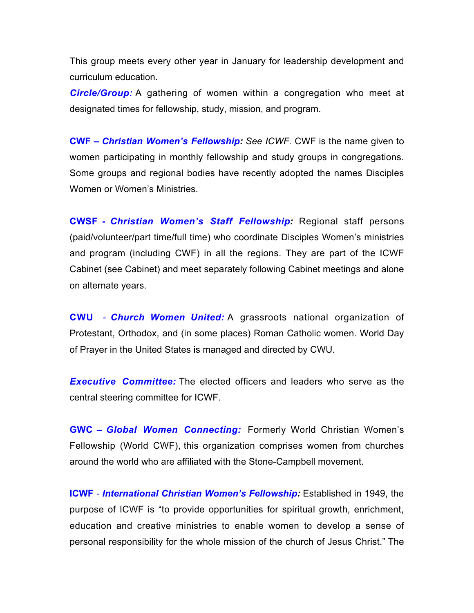This group meets every other year in January for leadership development and curriculum education.

**Circle/Group:** A gathering of women within a congregation who meet at designated times for fellowship, study, mission, and program.

**CWF –** *Christian Women's Fellowship: See ICWF.* CWF is the name given to women participating in monthly fellowship and study groups in congregations. Some groups and regional bodies have recently adopted the names Disciples Women or Women's Ministries.

**CWSF -** *Christian Women's Staff Fellowship:* Regional staff persons (paid/volunteer/part time/full time) who coordinate Disciples Women's ministries and program (including CWF) in all the regions. They are part of the ICWF Cabinet (see Cabinet) and meet separately following Cabinet meetings and alone on alternate years.

**CWU** - *Church Women United:* A grassroots national organization of Protestant, Orthodox, and (in some places) Roman Catholic women. World Day of Prayer in the United States is managed and directed by CWU.

*Executive Committee:* The elected officers and leaders who serve as the central steering committee for ICWF.

**GWC –** *Global Women Connecting:* Formerly World Christian Women's Fellowship (World CWF), this organization comprises women from churches around the world who are affiliated with the Stone-Campbell movement.

**ICWF** - *International Christian Women's Fellowship:* Established in 1949, the purpose of ICWF is "to provide opportunities for spiritual growth, enrichment, education and creative ministries to enable women to develop a sense of personal responsibility for the whole mission of the church of Jesus Christ." The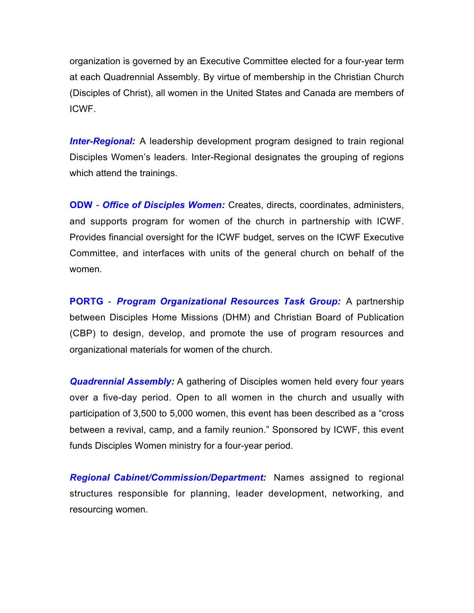organization is governed by an Executive Committee elected for a four-year term at each Quadrennial Assembly. By virtue of membership in the Christian Church (Disciples of Christ), all women in the United States and Canada are members of ICWF.

*Inter-Regional:* A leadership development program designed to train regional Disciples Women's leaders. Inter-Regional designates the grouping of regions which attend the trainings.

**ODW** - *Office of Disciples Women:* Creates, directs, coordinates, administers, and supports program for women of the church in partnership with ICWF. Provides financial oversight for the ICWF budget, serves on the ICWF Executive Committee, and interfaces with units of the general church on behalf of the women.

**PORTG** - *Program Organizational Resources Task Group:* A partnership between Disciples Home Missions (DHM) and Christian Board of Publication (CBP) to design, develop, and promote the use of program resources and organizational materials for women of the church.

*Quadrennial Assembly:* A gathering of Disciples women held every four years over a five-day period. Open to all women in the church and usually with participation of 3,500 to 5,000 women, this event has been described as a "cross between a revival, camp, and a family reunion." Sponsored by ICWF, this event funds Disciples Women ministry for a four-year period.

*Regional Cabinet/Commission/Department:* Names assigned to regional structures responsible for planning, leader development, networking, and resourcing women.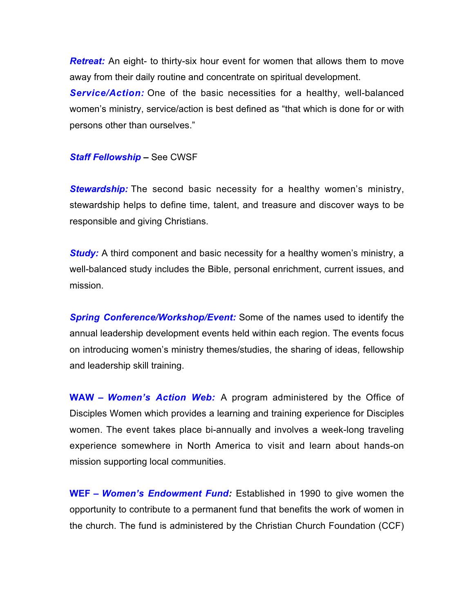*Retreat:* An eight- to thirty-six hour event for women that allows them to move away from their daily routine and concentrate on spiritual development.

**Service/Action:** One of the basic necessities for a healthy, well-balanced women's ministry, service/action is best defined as "that which is done for or with persons other than ourselves."

#### *Staff Fellowship* **–** See CWSF

*Stewardship:* The second basic necessity for a healthy women's ministry, stewardship helps to define time, talent, and treasure and discover ways to be responsible and giving Christians.

*Study:* A third component and basic necessity for a healthy women's ministry, a well-balanced study includes the Bible, personal enrichment, current issues, and mission.

*Spring Conference/Workshop/Event:* Some of the names used to identify the annual leadership development events held within each region. The events focus on introducing women's ministry themes/studies, the sharing of ideas, fellowship and leadership skill training.

**WAW –** *Women's Action Web:* A program administered by the Office of Disciples Women which provides a learning and training experience for Disciples women. The event takes place bi-annually and involves a week-long traveling experience somewhere in North America to visit and learn about hands-on mission supporting local communities.

**WEF –** *Women's Endowment Fund:* Established in 1990 to give women the opportunity to contribute to a permanent fund that benefits the work of women in the church. The fund is administered by the Christian Church Foundation (CCF)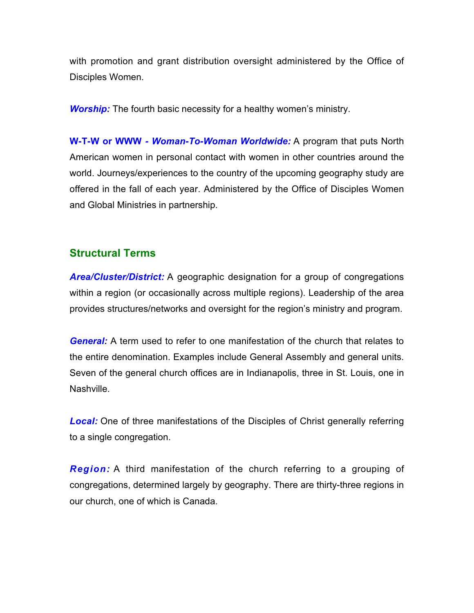<span id="page-9-0"></span>with promotion and grant distribution oversight administered by the Office of Disciples Women.

*Worship:* The fourth basic necessity for a healthy women's ministry.

**W-T-W or WWW** *- Woman-To-Woman Worldwide:* A program that puts North American women in personal contact with women in other countries around the world. Journeys/experiences to the country of the upcoming geography study are offered in the fall of each year. Administered by the Office of Disciples Women and Global Ministries in partnership.

#### **Structural Terms**

*Area/Cluster/District:* A geographic designation for a group of congregations within a region (or occasionally across multiple regions). Leadership of the area provides structures/networks and oversight for the region's ministry and program.

*General:* A term used to refer to one manifestation of the church that relates to the entire denomination. Examples include General Assembly and general units. Seven of the general church offices are in Indianapolis, three in St. Louis, one in Nashville.

**Local:** One of three manifestations of the Disciples of Christ generally referring to a single congregation.

*Region:* A third manifestation of the church referring to a grouping of congregations, determined largely by geography. There are thirty-three regions in our church, one of which is Canada.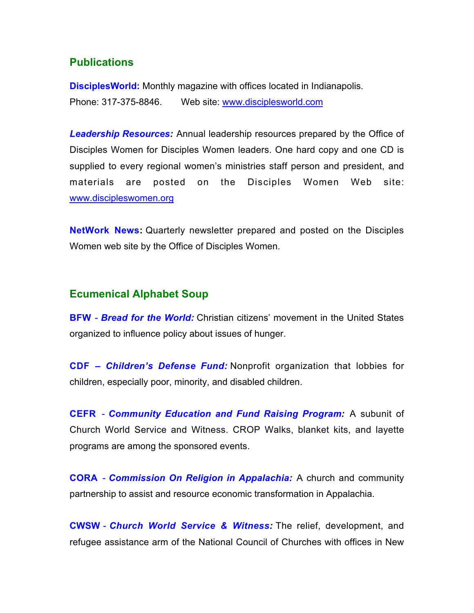#### <span id="page-10-0"></span>**Publications**

**DisciplesWorld:** Monthly magazine with offices located in Indianapolis. Phone: 317-375-8846. Web site:<www.disciplesworld.com>

*Leadership Resources:* Annual leadership resources prepared by the Office of Disciples Women for Disciples Women leaders. One hard copy and one CD is supplied to every regional women's ministries staff person and president, and materials are posted on the Disciples Women Web site: <www.discipleswomen.org>

**NetWork News:** Quarterly newsletter prepared and posted on the Disciples Women web site by the Office of Disciples Women.

#### **Ecumenical Alphabet Soup**

**BFW** - *Bread for the World:* Christian citizens' movement in the United States organized to influence policy about issues of hunger.

**CDF** *– Children's Defense Fund:* Nonprofit organization that lobbies for children, especially poor, minority, and disabled children.

**CEFR** - *Community Education and Fund Raising Program:* A subunit of Church World Service and Witness. CROP Walks, blanket kits, and layette programs are among the sponsored events.

**CORA** - *Commission On Religion in Appalachia:* A church and community partnership to assist and resource economic transformation in Appalachia.

**CWSW** - *Church World Service & Witness:* The relief, development, and refugee assistance arm of the National Council of Churches with offices in New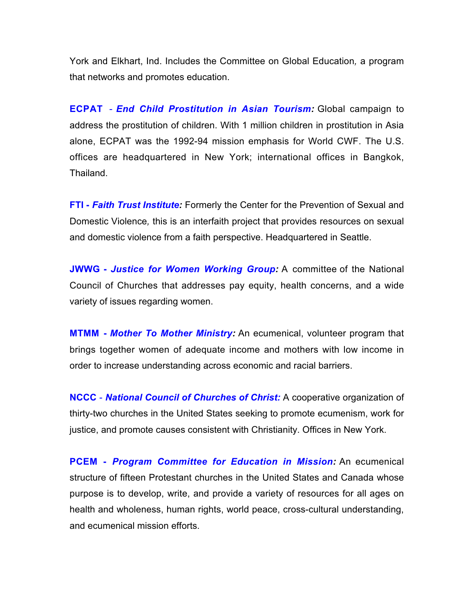York and Elkhart, Ind. Includes the Committee on Global Education*,* a program that networks and promotes education.

**ECPAT** - *End Child Prostitution in Asian Tourism:* Global campaign to address the prostitution of children. With 1 million children in prostitution in Asia alone, ECPAT was the 1992-94 mission emphasis for World CWF. The U.S. offices are headquartered in New York; international offices in Bangkok, Thailand.

**FTI -** *Faith Trust Institute:* Formerly the Center for the Prevention of Sexual and Domestic Violence*,* this is an interfaith project that provides resources on sexual and domestic violence from a faith perspective. Headquartered in Seattle.

**JWWG -** *Justice for Women Working Group:* A committee of the National Council of Churches that addresses pay equity, health concerns, and a wide variety of issues regarding women.

**MTMM -** *Mother To Mother Ministry:* An ecumenical, volunteer program that brings together women of adequate income and mothers with low income in order to increase understanding across economic and racial barriers.

**NCCC** - *National Council of Churches of Christ:* A cooperative organization of thirty-two churches in the United States seeking to promote ecumenism, work for justice, and promote causes consistent with Christianity. Offices in New York.

**PCEM -** *Program Committee for Education in Mission:* An ecumenical structure of fifteen Protestant churches in the United States and Canada whose purpose is to develop, write, and provide a variety of resources for all ages on health and wholeness, human rights, world peace, cross-cultural understanding, and ecumenical mission efforts.